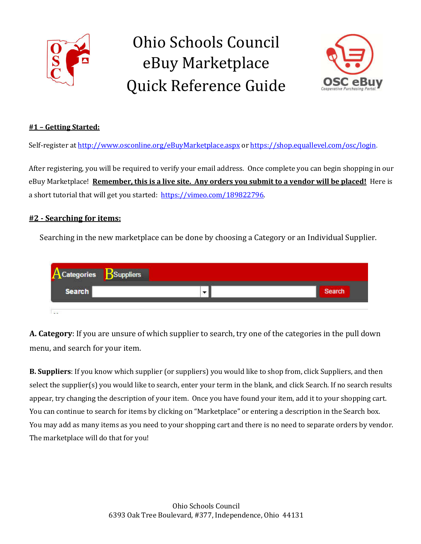

# Ohio Schools Council eBuy Marketplace Quick Reference Guide



## **#1 – Getting Started:**

Self-register at http://www.osconline.org/eBuyMarketplace.aspx or https://shop.equallevel.com/osc/login.

After registering, you will be required to verify your email address. Once complete you can begin shopping in our eBuy Marketplace! **Remember, this is a live site. Any orders you submit to a vendor will be placed!** Here is a short tutorial that will get you started: https://vimeo.com/189822796.

#### **#2 - Searching for items:**

Searching in the new marketplace can be done by choosing a Category or an Individual Supplier.



**A. Category**: If you are unsure of which supplier to search, try one of the categories in the pull down menu, and search for your item.

**B. Suppliers**: If you know which supplier (or suppliers) you would like to shop from, click Suppliers, and then select the supplier(s) you would like to search, enter your term in the blank, and click Search. If no search results appear, try changing the description of your item. Once you have found your item, add it to your shopping cart. You can continue to search for items by clicking on "Marketplace" or entering a description in the Search box. You may add as many items as you need to your shopping cart and there is no need to separate orders by vendor. The marketplace will do that for you!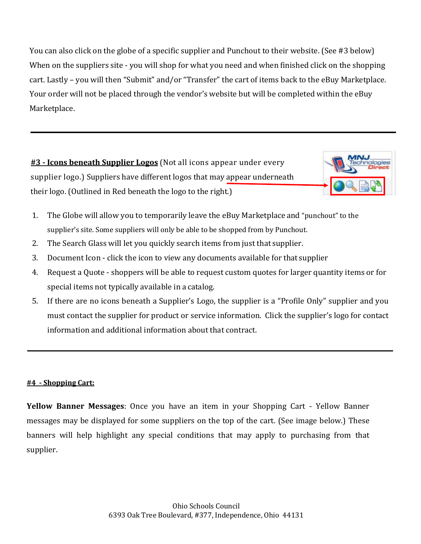You can also click on the globe of a specific supplier and Punchout to their website. (See #3 below) When on the suppliers site - you will shop for what you need and when finished click on the shopping cart. Lastly – you will then "Submit" and/or "Transfer" the cart of items back to the eBuy Marketplace. Your order will not be placed through the vendor's website but will be completed within the eBuy Marketplace.

**#3 - Icons beneath Supplier Logos** (Not all icons appear under every supplier logo.) Suppliers have different logos that may appear underneath their logo. (Outlined in Red beneath the logo to the right.)



- 1. The Globe will allow you to temporarily leave the eBuy Marketplace and "punchout" to the supplier's site. Some suppliers will only be able to be shopped from by Punchout.
- 2. The Search Glass will let you quickly search items from just that supplier.
- 3. Document Icon click the icon to view any documents available for that supplier
- 4. Request a Quote shoppers will be able to request custom quotes for larger quantity items or for special items not typically available in a catalog.
- 5. If there are no icons beneath a Supplier's Logo, the supplier is a "Profile Only" supplier and you must contact the supplier for product or service information. Click the supplier's logo for contact information and additional information about that contract.

## **#4 - Shopping Cart:**

**Yellow Banner Messages**: Once you have an item in your Shopping Cart - Yellow Banner messages may be displayed for some suppliers on the top of the cart. (See image below.) These banners will help highlight any special conditions that may apply to purchasing from that supplier.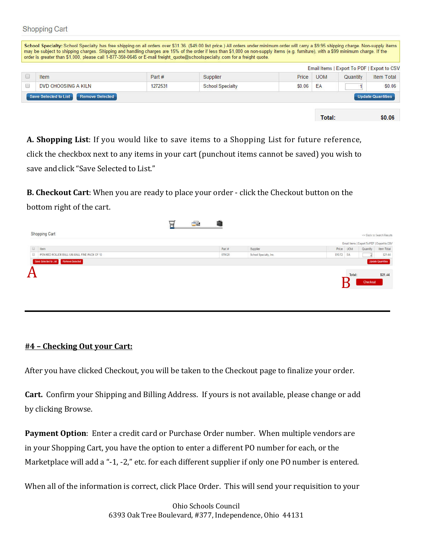**Shopping Cart** 

|                     |         |                         |        |            | Email Items   Export To PDF   Export to CSV |                   |
|---------------------|---------|-------------------------|--------|------------|---------------------------------------------|-------------------|
| Item                | Part #  | Supplier                | Price  | <b>UOM</b> | Quantity                                    | <b>Item Total</b> |
| DVD CHOOSING A KILN | 1272531 | <b>School Specialty</b> | \$0.06 | ΕA         |                                             | \$0.06            |

**A. Shopping List**: If you would like to save items to a Shopping List for future reference, click the checkbox next to any items in your cart (punchout items cannot be saved) you wish to save andclick "Save Selected to List."

**B. Checkout Cart**: When you are ready to place your order - click the Checkout button on the bottom right of the cart.

| tem<br>Part#<br>Price UOM<br>Supplier<br>Quantity<br>079128<br>O.<br>\$10.72 EA<br>School Specialty, Inc.<br>PEN RED ROLLER BALL UNI-BALL FINE PACK OF 12<br>$\frac{2}{2}$<br>Save Selected to List Remove Selected<br><b>Update Quantities</b> |  |  |  | Email Items   Export To PDF   Export to CSV |            |
|-------------------------------------------------------------------------------------------------------------------------------------------------------------------------------------------------------------------------------------------------|--|--|--|---------------------------------------------|------------|
|                                                                                                                                                                                                                                                 |  |  |  |                                             | Item Total |
|                                                                                                                                                                                                                                                 |  |  |  |                                             | \$21.44    |
| $\bm A$                                                                                                                                                                                                                                         |  |  |  |                                             |            |

#### **#4 – Checking Out your Cart:**

After you have clicked Checkout, you will be taken to the Checkout page to finalize your order.

**Cart.** Confirm your Shipping and Billing Address. If yours is not available, please change or add by clicking Browse.

**Payment Option**: Enter a credit card or Purchase Order number. When multiple vendors are in your Shopping Cart, you have the option to enter a different PO number for each, or the Marketplace will add a "-1, -2," etc. for each different supplier if only one PO number is entered.

When all of the information is correct, click Place Order. This will send your requisition to your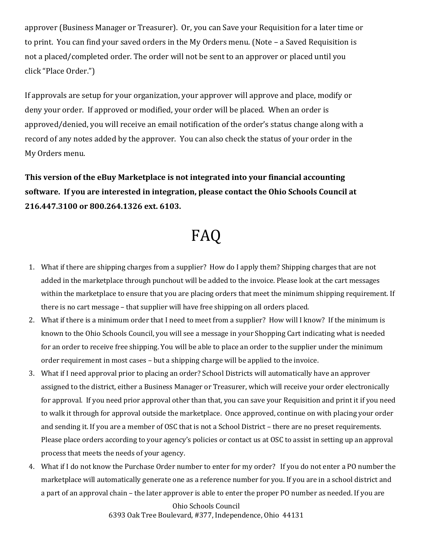approver (Business Manager or Treasurer). Or, you can Save your Requisition for a later time or to print. You can find your saved orders in the My Orders menu. (Note – a Saved Requisition is not a placed/completed order. The order will not be sent to an approver or placed until you click "Place Order.")

If approvals are setup for your organization, your approver will approve and place, modify or deny your order. If approved or modified, your order will be placed. When an order is approved/denied, you will receive an email notification of the order's status change along with a record of any notes added by the approver. You can also check the status of your order in the My Orders menu.

**This version of the eBuy Marketplace is not integrated into your financial accounting software. If you are interested in integration, please contact the Ohio Schools Council at 216.447.3100 or 800.264.1326 ext. 6103.**

# FAQ

- 1. What if there are shipping charges from a supplier? How do I apply them? Shipping charges that are not added in the marketplace through punchout will be added to the invoice. Please look at the cart messages within the marketplace to ensure that you are placing orders that meet the minimum shipping requirement. If there is no cart message – that supplier will have free shipping on all orders placed.
- 2. What if there is a minimum order that I need to meet from a supplier? How will I know? If the minimum is known to the Ohio Schools Council, you will see a message in your Shopping Cart indicating what is needed for an order to receive free shipping. You will be able to place an order to the supplier under the minimum order requirement in most cases – but a shipping charge will be applied to the invoice.
- 3. What if I need approval prior to placing an order? School Districts will automatically have an approver assigned to the district, either a Business Manager or Treasurer, which will receive your order electronically for approval. If you need prior approval other than that, you can save your Requisition and print it if you need to walk it through for approval outside the marketplace. Once approved, continue on with placing your order and sending it. If you are a member of OSC that is not a School District – there are no preset requirements. Please place orders according to your agency's policies or contact us at OSC to assist in setting up an approval process that meets the needs of your agency.
- 4. What if I do not know the Purchase Order number to enter for my order? If you do not enter a PO number the marketplace will automatically generate one as a reference number for you. If you are in a school district and a part of an approval chain – the later approver is able to enter the proper PO number as needed. If you are